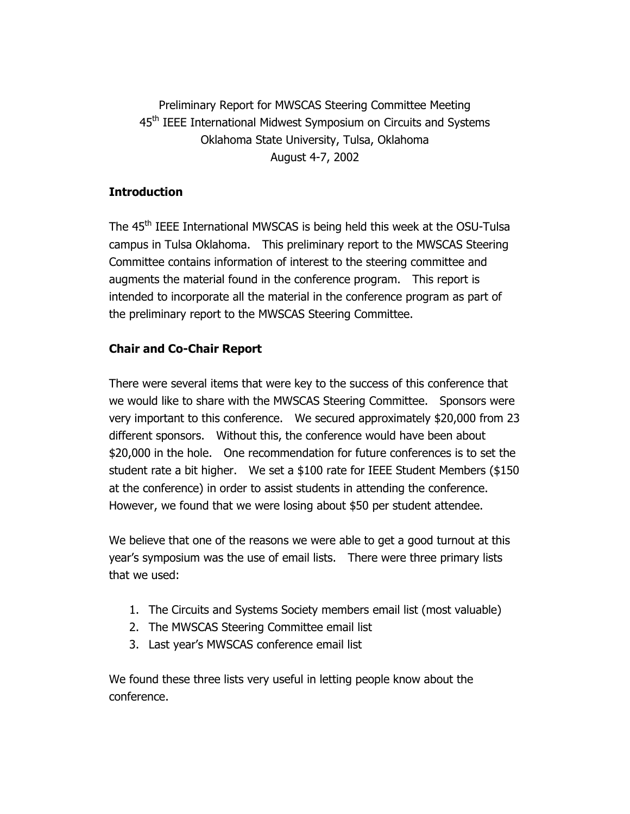Preliminary Report for MWSCAS Steering Committee Meeting 45<sup>th</sup> IEEE International Midwest Symposium on Circuits and Systems Oklahoma State University, Tulsa, Oklahoma August 4-7, 2002

### **Introduction**

The 45<sup>th</sup> IEEE International MWSCAS is being held this week at the OSU-Tulsa campus in Tulsa Oklahoma. This preliminary report to the MWSCAS Steering Committee contains information of interest to the steering committee and augments the material found in the conference program. This report is intended to incorporate all the material in the conference program as part of the preliminary report to the MWSCAS Steering Committee.

# **Chair and Co-Chair Report**

There were several items that were key to the success of this conference that we would like to share with the MWSCAS Steering Committee. Sponsors were very important to this conference. We secured approximately \$20,000 from 23 different sponsors. Without this, the conference would have been about \$20,000 in the hole. One recommendation for future conferences is to set the student rate a bit higher. We set a \$100 rate for IEEE Student Members (\$150 at the conference) in order to assist students in attending the conference. However, we found that we were losing about \$50 per student attendee.

We believe that one of the reasons we were able to get a good turnout at this year's symposium was the use of email lists. There were three primary lists that we used:

- 1. The Circuits and Systems Society members email list (most valuable)
- 2. The MWSCAS Steering Committee email list
- 3. Last year's MWSCAS conference email list

We found these three lists very useful in letting people know about the conference.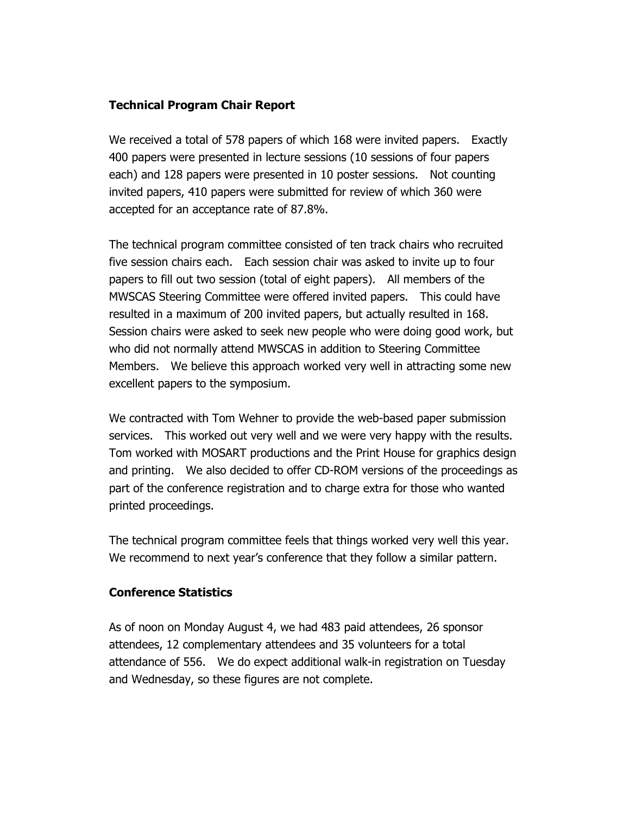#### **Technical Program Chair Report**

We received a total of 578 papers of which 168 were invited papers. Exactly 400 papers were presented in lecture sessions (10 sessions of four papers each) and 128 papers were presented in 10 poster sessions. Not counting invited papers, 410 papers were submitted for review of which 360 were accepted for an acceptance rate of 87.8%.

The technical program committee consisted of ten track chairs who recruited five session chairs each. Each session chair was asked to invite up to four papers to fill out two session (total of eight papers). All members of the MWSCAS Steering Committee were offered invited papers. This could have resulted in a maximum of 200 invited papers, but actually resulted in 168. Session chairs were asked to seek new people who were doing good work, but who did not normally attend MWSCAS in addition to Steering Committee Members. We believe this approach worked very well in attracting some new excellent papers to the symposium.

We contracted with Tom Wehner to provide the web-based paper submission services. This worked out very well and we were very happy with the results. Tom worked with MOSART productions and the Print House for graphics design and printing. We also decided to offer CD-ROM versions of the proceedings as part of the conference registration and to charge extra for those who wanted printed proceedings.

The technical program committee feels that things worked very well this year. We recommend to next year's conference that they follow a similar pattern.

### **Conference Statistics**

As of noon on Monday August 4, we had 483 paid attendees, 26 sponsor attendees, 12 complementary attendees and 35 volunteers for a total attendance of 556. We do expect additional walk-in registration on Tuesday and Wednesday, so these figures are not complete.